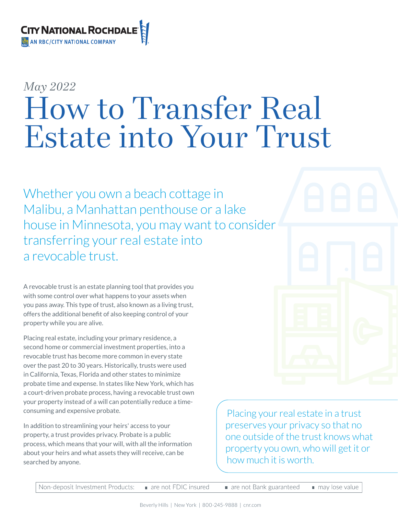

# *May 2022* How to Transfer Real Estate into Your Trust

Whether you own a beach cottage in Malibu, a Manhattan penthouse or a lake house in Minnesota, you may want to consider transferring your real estate into a revocable trust.

A revocable trust is an estate planning tool that provides you with some control over what happens to your assets when you pass away. This type of trust, also known as a living trust, offers the additional benefit of also keeping control of your property while you are alive.

Placing real estate, including your primary residence, a second home or commercial investment properties, into a revocable trust has become more common in every state over the past 20 to 30 years. Historically, trusts were used in California, Texas, Florida and other states to minimize probate time and expense. In states like New York, which has a court-driven probate process, having a revocable trust own your property instead of a will can potentially reduce a timeconsuming and expensive probate.

In addition to streamlining your heirs' access to your property, a trust provides privacy. Probate is a public process, which means that your will, with all the information about your heirs and what assets they will receive, can be searched by anyone.

Placing your real estate in a trust preserves your privacy so that no one outside of the trust knows what property you own, who will get it or how much it is worth.

Non-deposit Investment Products: are not FDIC insured are not Bank guaranteed may lose value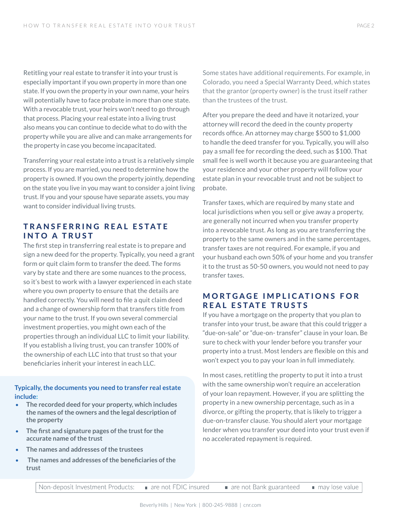Retitling your real estate to transfer it into your trust is especially important if you own property in more than one state. If you own the property in your own name, your heirs will potentially have to face probate in more than one state. With a revocable trust, your heirs won't need to go through that process. Placing your real estate into a living trust also means you can continue to decide what to do with the property while you are alive and can make arrangements for the property in case you become incapacitated.

Transferring your real estate into a trust is a relatively simple process. If you are married, you need to determine how the property is owned. If you own the property jointly, depending on the state you live in you may want to consider a joint living trust. If you and your spouse have separate assets, you may want to consider individual living trusts.

## TRANSFERRING REAL ESTATF INTO A TRUST

The first step in transferring real estate is to prepare and sign a new deed for the property. Typically, you need a grant form or quit claim form to transfer the deed. The forms vary by state and there are some nuances to the process, so it's best to work with a lawyer experienced in each state where you own property to ensure that the details are handled correctly. You will need to file a quit claim deed and a change of ownership form that transfers title from your name to the trust. If you own several commercial investment properties, you might own each of the properties through an individual LLC to limit your liability. If you establish a living trust, you can transfer 100% of the ownership of each LLC into that trust so that your beneficiaries inherit your interest in each LLC.

#### **Typically, the documents you need to transfer real estate include:**

- **The recorded deed for your property, which includes the names of the owners and the legal description of the property**
- **The first and signature pages ofthe trustfor the accurate name of the trust**
- **The names and addresses of the trustees**
- **The names and addresses ofthe beneficiaries ofthe trust**

Some states have additional requirements. For example, in Colorado, you need a Special Warranty Deed, which states that the grantor (property owner) is the trust itself rather than the trustees of the trust.

After you prepare the deed and have it notarized, your attorney will record the deed in the county property records office. An attorney may charge \$500 to \$1,000 to handle the deed transfer for you. Typically, you will also pay a small fee for recording the deed, such as \$100. That small fee is well worth it because you are guaranteeing that your residence and your other property will follow your estate plan in your revocable trust and not be subject to probate.

Transfer taxes, which are required by many state and local jurisdictions when you sell or give away a property, are generally not incurred when you transfer property into a revocable trust. As long as you are transferring the property to the same owners and in the same percentages, transfer taxes are not required. For example, if you and your husband each own 50% of your home and you transfer it to the trust as 50-50 owners, you would not need to pay transfer taxes.

### **MORTGAGE IMPLICATIONS FOR** REAL ESTATE TRUSTS

If you have a mortgage on the property that you plan to transfer into your trust, be aware that this could trigger a "due-on-sale" or "due-on- transfer" clause in your loan. Be sure to check with your lender before you transfer your property into a trust. Most lenders are flexible on this and won't expect you to pay your loan in full immediately.

In most cases, retitling the property to put it into a trust with the same ownership won't require an acceleration of your loan repayment. However, if you are splitting the property in a new ownership percentage, such as in a divorce, or gifting the property, that is likely to trigger a due-on-transfer clause. You should alert your mortgage lender when you transfer your deed into your trust even if no accelerated repayment is required.